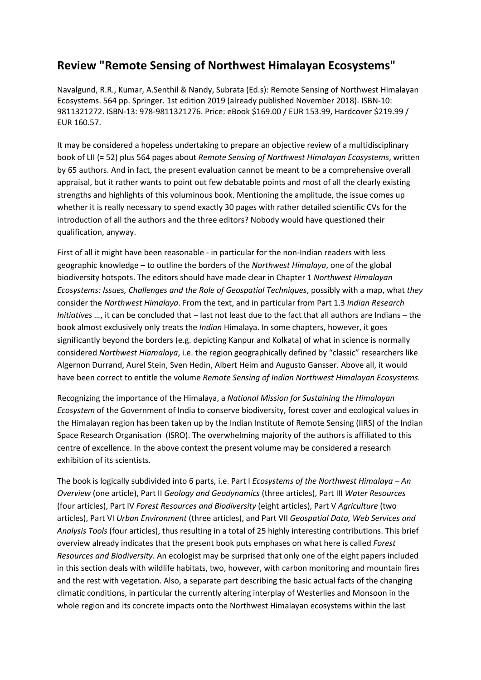## **Review "Remote Sensing of Northwest Himalayan Ecosystems"**

Navalgund, R.R., Kumar, A.Senthil & Nandy, Subrata (Ed.s): Remote Sensing of Northwest Himalayan Ecosystems. 564 pp. Springer. 1st edition 2019 (already published November 2018). ISBN-10: 9811321272. ISBN-13: 978-9811321276. Price: eBook \$169.00 / EUR 153.99, Hardcover \$219.99 / EUR 160.57.

It may be considered a hopeless undertaking to prepare an objective review of a multidisciplinary book of LII (= 52) plus 564 pages about *Remote Sensing of Northwest Himalayan Ecosystems*, written by 65 authors. And in fact, the present evaluation cannot be meant to be a comprehensive overall appraisal, but it rather wants to point out few debatable points and most of all the clearly existing strengths and highlights of this voluminous book. Mentioning the amplitude, the issue comes up whether it is really necessary to spend exactly 30 pages with rather detailed scientific CVs for the introduction of all the authors and the three editors? Nobody would have questioned their qualification, anyway.

First of all it might have been reasonable - in particular for the non-Indian readers with less geographic knowledge – to outline the borders of the *Northwest Himalaya*, one of the global biodiversity hotspots. The editors should have made clear in Chapter 1 *Northwest Himalayan Ecosystems: Issues, Challenges and the Role of Geospatial Techniques*, possibly with a map, what *they*  consider the *Northwest Himalaya*. From the text, and in particular from Part 1.3 *Indian Research Initiatives …*, it can be concluded that – last not least due to the fact that all authors are Indians – the book almost exclusively only treats the *Indian* Himalaya. In some chapters, however, it goes significantly beyond the borders (e.g. depicting Kanpur and Kolkata) of what in science is normally considered *Northwest Hiamalaya*, i.e. the region geographically defined by "classic" researchers like Algernon Durrand, Aurel Stein, Sven Hedin, Albert Heim and Augusto Gansser. Above all, it would have been correct to entitle the volume *Remote Sensing of Indian Northwest Himalayan Ecosystems.*

Recognizing the importance of the Himalaya, a *National Mission for Sustaining the Himalayan Ecosystem* of the Government of India to conserve biodiversity, forest cover and ecological values in the Himalayan region has been taken up by the Indian Institute of Remote Sensing (IIRS) of the Indian Space Research Organisation (ISRO). The overwhelming majority of the authors is affiliated to this centre of excellence. In the above context the present volume may be considered a research exhibition of its scientists.

The book is logically subdivided into 6 parts, i.e. Part I *Ecosystems of the Northwest Himalaya – An Overview* (one article), Part II *Geology and Geodynamics* (three articles), Part III *Water Resources* (four articles), Part IV *Forest Resources and Biodiversity* (eight articles), Part V *Agriculture* (two articles), Part VI *Urban Environment* (three articles), and Part VII *Geospatial Data, Web Services and Analysis Tools* (four articles), thus resulting in a total of 25 highly interesting contributions. This brief overview already indicates that the present book puts emphases on what here is called *Forest Resources and Biodiversity.* An ecologist may be surprised that only one of the eight papers included in this section deals with wildlife habitats, two, however, with carbon monitoring and mountain fires and the rest with vegetation. Also, a separate part describing the basic actual facts of the changing climatic conditions, in particular the currently altering interplay of Westerlies and Monsoon in the whole region and its concrete impacts onto the Northwest Himalayan ecosystems within the last